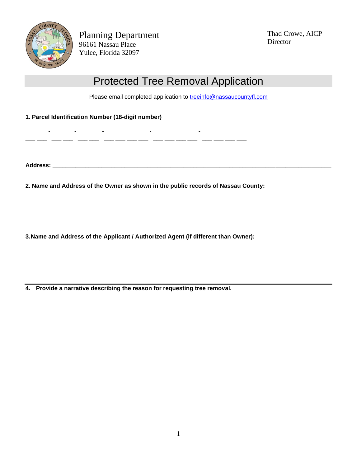

Planning Department 96161 Nassau Place Yulee, Florida 32097

**- - - - -**

**\_\_\_ \_\_\_ \_\_\_ \_\_\_ \_\_\_ \_\_\_ \_\_\_ \_\_\_ \_\_\_ \_\_\_ \_\_\_ \_\_\_ \_\_\_ \_\_\_ \_\_\_ \_\_\_ \_\_\_ \_\_\_**

Thad Crowe, AICP Director

## Protected Tree Removal Application

Please email completed application to **treeinfo@nassaucountyfl.com** 

**1. Parcel Identification Number (18-digit number)**

**Address: \_\_\_\_\_\_\_\_\_\_\_\_\_\_\_\_\_\_\_\_\_\_\_\_\_\_\_\_\_\_\_\_\_\_\_\_\_\_\_\_\_\_\_\_\_\_\_\_\_\_\_\_\_\_\_\_\_\_\_\_\_\_\_\_\_\_\_\_\_\_\_\_\_\_\_\_\_\_\_\_\_\_\_\_\_**

**2. Name and Address of the Owner as shown in the public records of Nassau County:**

**3.Name and Address of the Applicant / Authorized Agent (if different than Owner):**

**4. Provide a narrative describing the reason for requesting tree removal.**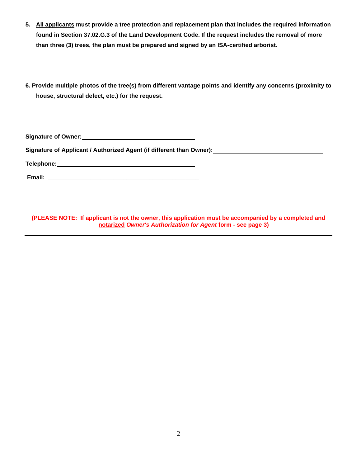- **5. All applicants must provide a tree protection and replacement plan that includes the required information found in Section 37.02.G.3 of the Land Development Code. If the request includes the removal of more than three (3) trees, the plan must be prepared and signed by an ISA-certified arborist.**
- **6. Provide multiple photos of the tree(s) from different vantage points and identify any concerns (proximity to house, structural defect, etc.) for the request.**

**Signature of Owner:**

**Signature of Applicant / Authorized Agent (if different than Owner):**

**Telephone:**

**Email: \_\_\_\_\_\_\_\_\_\_\_\_\_\_\_\_\_\_\_\_\_\_\_\_\_\_\_\_\_\_\_\_\_\_\_\_\_\_\_\_\_\_\_\_\_\_**

**(PLEASE NOTE: If applicant is not the owner, this application must be accompanied by a completed and notarized** *Owner's Authorization for Agent* **form - see page 3)**